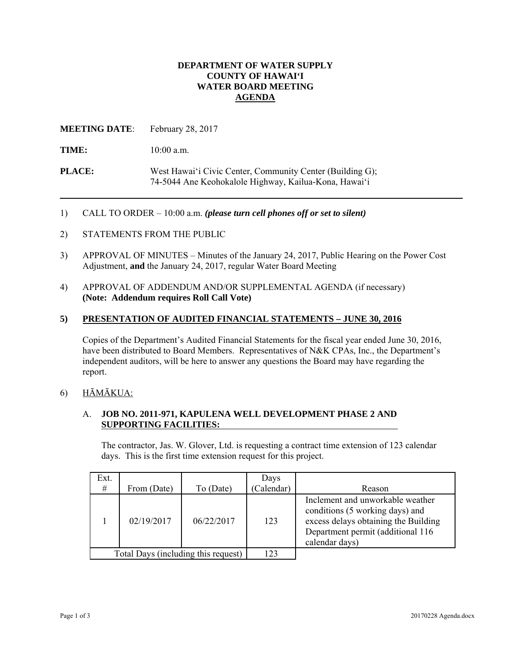## **DEPARTMENT OF WATER SUPPLY COUNTY OF HAWAI'I WATER BOARD MEETING AGENDA**

**MEETING DATE**: February 28, 2017

TIME:  $10:00$  a.m.

**PLACE:** West Hawai'i Civic Center, Community Center (Building G); 74-5044 Ane Keohokalole Highway, Kailua-Kona, Hawai'i

1) CALL TO ORDER – 10:00 a.m. *(please turn cell phones off or set to silent)* 

- 2) STATEMENTS FROM THE PUBLIC
- 3) APPROVAL OF MINUTES Minutes of the January 24, 2017, Public Hearing on the Power Cost Adjustment, **and** the January 24, 2017, regular Water Board Meeting
- 4) APPROVAL OF ADDENDUM AND/OR SUPPLEMENTAL AGENDA (if necessary) **(Note: Addendum requires Roll Call Vote)**

# **5) PRESENTATION OF AUDITED FINANCIAL STATEMENTS – JUNE 30, 2016**

Copies of the Department's Audited Financial Statements for the fiscal year ended June 30, 2016, have been distributed to Board Members. Representatives of N&K CPAs, Inc., the Department's independent auditors, will be here to answer any questions the Board may have regarding the report.

# 6) HĀMĀKUA:

# A. **JOB NO. 2011-971, KAPULENA WELL DEVELOPMENT PHASE 2 AND SUPPORTING FACILITIES:**

The contractor, Jas. W. Glover, Ltd. is requesting a contract time extension of 123 calendar days. This is the first time extension request for this project.

| Ext.<br>#                           | From (Date) | To (Date)  | Days<br>Calendar) | Reason                                                                                                                                                             |
|-------------------------------------|-------------|------------|-------------------|--------------------------------------------------------------------------------------------------------------------------------------------------------------------|
|                                     | 02/19/2017  | 06/22/2017 | 123               | Inclement and unworkable weather<br>conditions (5 working days) and<br>excess delays obtaining the Building<br>Department permit (additional 116<br>calendar days) |
| Total Days (including this request) |             |            | 123               |                                                                                                                                                                    |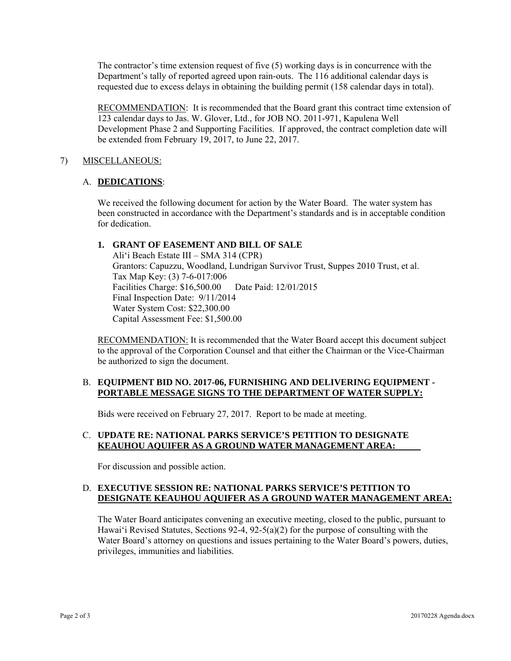The contractor's time extension request of five (5) working days is in concurrence with the Department's tally of reported agreed upon rain-outs. The 116 additional calendar days is requested due to excess delays in obtaining the building permit (158 calendar days in total).

RECOMMENDATION: It is recommended that the Board grant this contract time extension of 123 calendar days to Jas. W. Glover, Ltd., for JOB NO. 2011-971, Kapulena Well Development Phase 2 and Supporting Facilities. If approved, the contract completion date will be extended from February 19, 2017, to June 22, 2017.

## 7) MISCELLANEOUS:

# A. **DEDICATIONS**:

We received the following document for action by the Water Board. The water system has been constructed in accordance with the Department's standards and is in acceptable condition for dedication.

# **1. GRANT OF EASEMENT AND BILL OF SALE**

Ali'i Beach Estate III – SMA 314 (CPR) Grantors: Capuzzu, Woodland, Lundrigan Survivor Trust, Suppes 2010 Trust, et al. Tax Map Key: (3) 7-6-017:006 Facilities Charge: \$16,500.00 Date Paid: 12/01/2015 Final Inspection Date: 9/11/2014 Water System Cost: \$22,300.00 Capital Assessment Fee: \$1,500.00

RECOMMENDATION: It is recommended that the Water Board accept this document subject to the approval of the Corporation Counsel and that either the Chairman or the Vice-Chairman be authorized to sign the document.

### B. **EQUIPMENT BID NO. 2017-06, FURNISHING AND DELIVERING EQUIPMENT - PORTABLE MESSAGE SIGNS TO THE DEPARTMENT OF WATER SUPPLY:**

Bids were received on February 27, 2017. Report to be made at meeting.

# C. **UPDATE RE: NATIONAL PARKS SERVICE'S PETITION TO DESIGNATE KEAUHOU AQUIFER AS A GROUND WATER MANAGEMENT AREA:**

For discussion and possible action.

## D. **EXECUTIVE SESSION RE: NATIONAL PARKS SERVICE'S PETITION TO DESIGNATE KEAUHOU AQUIFER AS A GROUND WATER MANAGEMENT AREA:**

The Water Board anticipates convening an executive meeting, closed to the public, pursuant to Hawai'i Revised Statutes, Sections  $92-4$ ,  $92-5(a)(2)$  for the purpose of consulting with the Water Board's attorney on questions and issues pertaining to the Water Board's powers, duties, privileges, immunities and liabilities.